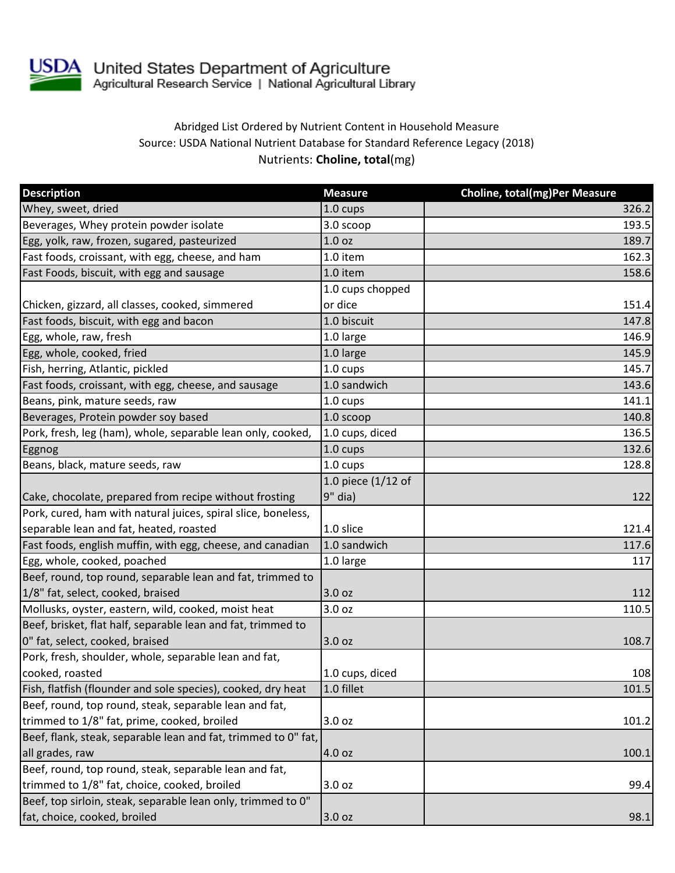

## Abridged List Ordered by Nutrient Content in Household Measure Source: USDA National Nutrient Database for Standard Reference Legacy (2018) Nutrients: **Choline, total**(mg)

| <b>Description</b>                                             | <b>Measure</b>     | <b>Choline, total(mg)Per Measure</b> |
|----------------------------------------------------------------|--------------------|--------------------------------------|
| Whey, sweet, dried                                             | 1.0 cups           | 326.2                                |
| Beverages, Whey protein powder isolate                         | 3.0 scoop          | 193.5                                |
| Egg, yolk, raw, frozen, sugared, pasteurized                   | 1.0 <sub>oz</sub>  | 189.7                                |
| Fast foods, croissant, with egg, cheese, and ham               | 1.0 item           | 162.3                                |
| Fast Foods, biscuit, with egg and sausage                      | 1.0 item           | 158.6                                |
|                                                                | 1.0 cups chopped   |                                      |
| Chicken, gizzard, all classes, cooked, simmered                | or dice            | 151.4                                |
| Fast foods, biscuit, with egg and bacon                        | 1.0 biscuit        | 147.8                                |
| Egg, whole, raw, fresh                                         | 1.0 large          | 146.9                                |
| Egg, whole, cooked, fried                                      | 1.0 large          | 145.9                                |
| Fish, herring, Atlantic, pickled                               | 1.0 cups           | 145.7                                |
| Fast foods, croissant, with egg, cheese, and sausage           | 1.0 sandwich       | 143.6                                |
| Beans, pink, mature seeds, raw                                 | 1.0 cups           | 141.1                                |
| Beverages, Protein powder soy based                            | 1.0 scoop          | 140.8                                |
| Pork, fresh, leg (ham), whole, separable lean only, cooked,    | 1.0 cups, diced    | 136.5                                |
| Eggnog                                                         | 1.0 cups           | 132.6                                |
| Beans, black, mature seeds, raw                                | $1.0 \text{ cups}$ | 128.8                                |
|                                                                | 1.0 piece (1/12 of |                                      |
| Cake, chocolate, prepared from recipe without frosting         | 9" dia)            | 122                                  |
| Pork, cured, ham with natural juices, spiral slice, boneless,  |                    |                                      |
| separable lean and fat, heated, roasted                        | 1.0 slice          | 121.4                                |
| Fast foods, english muffin, with egg, cheese, and canadian     | 1.0 sandwich       | 117.6                                |
| Egg, whole, cooked, poached                                    | 1.0 large          | 117                                  |
| Beef, round, top round, separable lean and fat, trimmed to     |                    |                                      |
| 1/8" fat, select, cooked, braised                              | 3.0 oz             | 112                                  |
| Mollusks, oyster, eastern, wild, cooked, moist heat            | 3.0 oz             | 110.5                                |
| Beef, brisket, flat half, separable lean and fat, trimmed to   |                    |                                      |
| 0" fat, select, cooked, braised                                | 3.0 oz             | 108.7                                |
| Pork, fresh, shoulder, whole, separable lean and fat,          |                    |                                      |
| cooked, roasted                                                | 1.0 cups, diced    | 108                                  |
| Fish, flatfish (flounder and sole species), cooked, dry heat   | 1.0 fillet         | 101.5                                |
| Beef, round, top round, steak, separable lean and fat,         |                    |                                      |
| trimmed to 1/8" fat, prime, cooked, broiled                    | 3.0 oz             | 101.2                                |
| Beef, flank, steak, separable lean and fat, trimmed to 0" fat, |                    |                                      |
| all grades, raw                                                | 4.0 oz             | 100.1                                |
| Beef, round, top round, steak, separable lean and fat,         |                    |                                      |
| trimmed to 1/8" fat, choice, cooked, broiled                   | 3.0 oz             | 99.4                                 |
| Beef, top sirloin, steak, separable lean only, trimmed to 0"   |                    |                                      |
| fat, choice, cooked, broiled                                   | 3.0 oz             | 98.1                                 |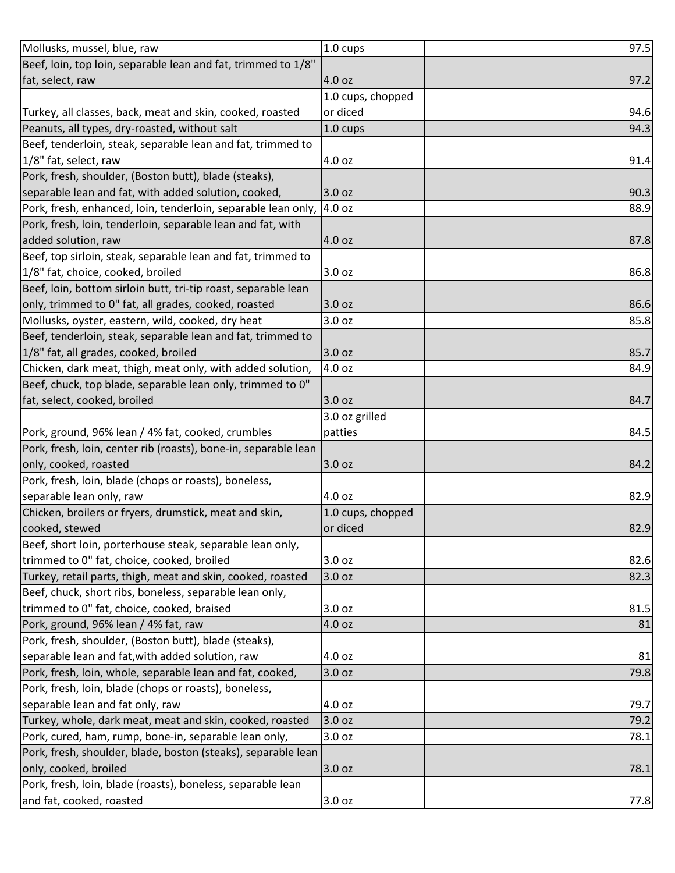| Beef, loin, top loin, separable lean and fat, trimmed to 1/8"<br>fat, select, raw<br>4.0 oz<br>97.2<br>1.0 cups, chopped<br>or diced<br>94.6<br>Turkey, all classes, back, meat and skin, cooked, roasted<br>Peanuts, all types, dry-roasted, without salt<br>1.0 cups<br>94.3<br>Beef, tenderloin, steak, separable lean and fat, trimmed to<br>1/8" fat, select, raw<br>91.4<br>4.0 oz<br>Pork, fresh, shoulder, (Boston butt), blade (steaks),<br>separable lean and fat, with added solution, cooked,<br>3.0 oz<br>90.3<br>Pork, fresh, enhanced, loin, tenderloin, separable lean only,<br>4.0 oz<br>88.9<br>Pork, fresh, loin, tenderloin, separable lean and fat, with<br>added solution, raw<br>4.0 oz<br>87.8<br>Beef, top sirloin, steak, separable lean and fat, trimmed to<br>1/8" fat, choice, cooked, broiled<br>3.0 oz<br>86.8<br>Beef, loin, bottom sirloin butt, tri-tip roast, separable lean<br>only, trimmed to 0" fat, all grades, cooked, roasted<br>3.0 oz<br>86.6<br>Mollusks, oyster, eastern, wild, cooked, dry heat<br>3.0 oz<br>85.8<br>Beef, tenderloin, steak, separable lean and fat, trimmed to<br>1/8" fat, all grades, cooked, broiled<br>85.7<br>3.0 oz<br>Chicken, dark meat, thigh, meat only, with added solution,<br>4.0 oz<br>84.9<br>Beef, chuck, top blade, separable lean only, trimmed to 0"<br>fat, select, cooked, broiled<br>3.0 oz<br>84.7<br>3.0 oz grilled<br>Pork, ground, 96% lean / 4% fat, cooked, crumbles<br>84.5<br>patties<br>Pork, fresh, loin, center rib (roasts), bone-in, separable lean |
|---------------------------------------------------------------------------------------------------------------------------------------------------------------------------------------------------------------------------------------------------------------------------------------------------------------------------------------------------------------------------------------------------------------------------------------------------------------------------------------------------------------------------------------------------------------------------------------------------------------------------------------------------------------------------------------------------------------------------------------------------------------------------------------------------------------------------------------------------------------------------------------------------------------------------------------------------------------------------------------------------------------------------------------------------------------------------------------------------------------------------------------------------------------------------------------------------------------------------------------------------------------------------------------------------------------------------------------------------------------------------------------------------------------------------------------------------------------------------------------------------------------------------------------------------------|
|                                                                                                                                                                                                                                                                                                                                                                                                                                                                                                                                                                                                                                                                                                                                                                                                                                                                                                                                                                                                                                                                                                                                                                                                                                                                                                                                                                                                                                                                                                                                                         |
|                                                                                                                                                                                                                                                                                                                                                                                                                                                                                                                                                                                                                                                                                                                                                                                                                                                                                                                                                                                                                                                                                                                                                                                                                                                                                                                                                                                                                                                                                                                                                         |
|                                                                                                                                                                                                                                                                                                                                                                                                                                                                                                                                                                                                                                                                                                                                                                                                                                                                                                                                                                                                                                                                                                                                                                                                                                                                                                                                                                                                                                                                                                                                                         |
|                                                                                                                                                                                                                                                                                                                                                                                                                                                                                                                                                                                                                                                                                                                                                                                                                                                                                                                                                                                                                                                                                                                                                                                                                                                                                                                                                                                                                                                                                                                                                         |
|                                                                                                                                                                                                                                                                                                                                                                                                                                                                                                                                                                                                                                                                                                                                                                                                                                                                                                                                                                                                                                                                                                                                                                                                                                                                                                                                                                                                                                                                                                                                                         |
|                                                                                                                                                                                                                                                                                                                                                                                                                                                                                                                                                                                                                                                                                                                                                                                                                                                                                                                                                                                                                                                                                                                                                                                                                                                                                                                                                                                                                                                                                                                                                         |
|                                                                                                                                                                                                                                                                                                                                                                                                                                                                                                                                                                                                                                                                                                                                                                                                                                                                                                                                                                                                                                                                                                                                                                                                                                                                                                                                                                                                                                                                                                                                                         |
|                                                                                                                                                                                                                                                                                                                                                                                                                                                                                                                                                                                                                                                                                                                                                                                                                                                                                                                                                                                                                                                                                                                                                                                                                                                                                                                                                                                                                                                                                                                                                         |
|                                                                                                                                                                                                                                                                                                                                                                                                                                                                                                                                                                                                                                                                                                                                                                                                                                                                                                                                                                                                                                                                                                                                                                                                                                                                                                                                                                                                                                                                                                                                                         |
|                                                                                                                                                                                                                                                                                                                                                                                                                                                                                                                                                                                                                                                                                                                                                                                                                                                                                                                                                                                                                                                                                                                                                                                                                                                                                                                                                                                                                                                                                                                                                         |
|                                                                                                                                                                                                                                                                                                                                                                                                                                                                                                                                                                                                                                                                                                                                                                                                                                                                                                                                                                                                                                                                                                                                                                                                                                                                                                                                                                                                                                                                                                                                                         |
|                                                                                                                                                                                                                                                                                                                                                                                                                                                                                                                                                                                                                                                                                                                                                                                                                                                                                                                                                                                                                                                                                                                                                                                                                                                                                                                                                                                                                                                                                                                                                         |
|                                                                                                                                                                                                                                                                                                                                                                                                                                                                                                                                                                                                                                                                                                                                                                                                                                                                                                                                                                                                                                                                                                                                                                                                                                                                                                                                                                                                                                                                                                                                                         |
|                                                                                                                                                                                                                                                                                                                                                                                                                                                                                                                                                                                                                                                                                                                                                                                                                                                                                                                                                                                                                                                                                                                                                                                                                                                                                                                                                                                                                                                                                                                                                         |
|                                                                                                                                                                                                                                                                                                                                                                                                                                                                                                                                                                                                                                                                                                                                                                                                                                                                                                                                                                                                                                                                                                                                                                                                                                                                                                                                                                                                                                                                                                                                                         |
|                                                                                                                                                                                                                                                                                                                                                                                                                                                                                                                                                                                                                                                                                                                                                                                                                                                                                                                                                                                                                                                                                                                                                                                                                                                                                                                                                                                                                                                                                                                                                         |
|                                                                                                                                                                                                                                                                                                                                                                                                                                                                                                                                                                                                                                                                                                                                                                                                                                                                                                                                                                                                                                                                                                                                                                                                                                                                                                                                                                                                                                                                                                                                                         |
|                                                                                                                                                                                                                                                                                                                                                                                                                                                                                                                                                                                                                                                                                                                                                                                                                                                                                                                                                                                                                                                                                                                                                                                                                                                                                                                                                                                                                                                                                                                                                         |
|                                                                                                                                                                                                                                                                                                                                                                                                                                                                                                                                                                                                                                                                                                                                                                                                                                                                                                                                                                                                                                                                                                                                                                                                                                                                                                                                                                                                                                                                                                                                                         |
|                                                                                                                                                                                                                                                                                                                                                                                                                                                                                                                                                                                                                                                                                                                                                                                                                                                                                                                                                                                                                                                                                                                                                                                                                                                                                                                                                                                                                                                                                                                                                         |
|                                                                                                                                                                                                                                                                                                                                                                                                                                                                                                                                                                                                                                                                                                                                                                                                                                                                                                                                                                                                                                                                                                                                                                                                                                                                                                                                                                                                                                                                                                                                                         |
|                                                                                                                                                                                                                                                                                                                                                                                                                                                                                                                                                                                                                                                                                                                                                                                                                                                                                                                                                                                                                                                                                                                                                                                                                                                                                                                                                                                                                                                                                                                                                         |
|                                                                                                                                                                                                                                                                                                                                                                                                                                                                                                                                                                                                                                                                                                                                                                                                                                                                                                                                                                                                                                                                                                                                                                                                                                                                                                                                                                                                                                                                                                                                                         |
|                                                                                                                                                                                                                                                                                                                                                                                                                                                                                                                                                                                                                                                                                                                                                                                                                                                                                                                                                                                                                                                                                                                                                                                                                                                                                                                                                                                                                                                                                                                                                         |
|                                                                                                                                                                                                                                                                                                                                                                                                                                                                                                                                                                                                                                                                                                                                                                                                                                                                                                                                                                                                                                                                                                                                                                                                                                                                                                                                                                                                                                                                                                                                                         |
| only, cooked, roasted<br>3.0 oz<br>84.2                                                                                                                                                                                                                                                                                                                                                                                                                                                                                                                                                                                                                                                                                                                                                                                                                                                                                                                                                                                                                                                                                                                                                                                                                                                                                                                                                                                                                                                                                                                 |
| Pork, fresh, loin, blade (chops or roasts), boneless,                                                                                                                                                                                                                                                                                                                                                                                                                                                                                                                                                                                                                                                                                                                                                                                                                                                                                                                                                                                                                                                                                                                                                                                                                                                                                                                                                                                                                                                                                                   |
| separable lean only, raw<br>4.0 oz<br>82.9                                                                                                                                                                                                                                                                                                                                                                                                                                                                                                                                                                                                                                                                                                                                                                                                                                                                                                                                                                                                                                                                                                                                                                                                                                                                                                                                                                                                                                                                                                              |
| Chicken, broilers or fryers, drumstick, meat and skin,<br>1.0 cups, chopped                                                                                                                                                                                                                                                                                                                                                                                                                                                                                                                                                                                                                                                                                                                                                                                                                                                                                                                                                                                                                                                                                                                                                                                                                                                                                                                                                                                                                                                                             |
| cooked, stewed<br>or diced<br>82.9                                                                                                                                                                                                                                                                                                                                                                                                                                                                                                                                                                                                                                                                                                                                                                                                                                                                                                                                                                                                                                                                                                                                                                                                                                                                                                                                                                                                                                                                                                                      |
| Beef, short loin, porterhouse steak, separable lean only,                                                                                                                                                                                                                                                                                                                                                                                                                                                                                                                                                                                                                                                                                                                                                                                                                                                                                                                                                                                                                                                                                                                                                                                                                                                                                                                                                                                                                                                                                               |
| trimmed to 0" fat, choice, cooked, broiled<br>3.0 oz<br>82.6                                                                                                                                                                                                                                                                                                                                                                                                                                                                                                                                                                                                                                                                                                                                                                                                                                                                                                                                                                                                                                                                                                                                                                                                                                                                                                                                                                                                                                                                                            |
| Turkey, retail parts, thigh, meat and skin, cooked, roasted<br>3.0 oz<br>82.3                                                                                                                                                                                                                                                                                                                                                                                                                                                                                                                                                                                                                                                                                                                                                                                                                                                                                                                                                                                                                                                                                                                                                                                                                                                                                                                                                                                                                                                                           |
| Beef, chuck, short ribs, boneless, separable lean only,                                                                                                                                                                                                                                                                                                                                                                                                                                                                                                                                                                                                                                                                                                                                                                                                                                                                                                                                                                                                                                                                                                                                                                                                                                                                                                                                                                                                                                                                                                 |
| trimmed to 0" fat, choice, cooked, braised<br>3.0 <sub>oz</sub><br>81.5                                                                                                                                                                                                                                                                                                                                                                                                                                                                                                                                                                                                                                                                                                                                                                                                                                                                                                                                                                                                                                                                                                                                                                                                                                                                                                                                                                                                                                                                                 |
| Pork, ground, 96% lean / 4% fat, raw<br>4.0 oz<br>81                                                                                                                                                                                                                                                                                                                                                                                                                                                                                                                                                                                                                                                                                                                                                                                                                                                                                                                                                                                                                                                                                                                                                                                                                                                                                                                                                                                                                                                                                                    |
| Pork, fresh, shoulder, (Boston butt), blade (steaks),                                                                                                                                                                                                                                                                                                                                                                                                                                                                                                                                                                                                                                                                                                                                                                                                                                                                                                                                                                                                                                                                                                                                                                                                                                                                                                                                                                                                                                                                                                   |
| separable lean and fat, with added solution, raw<br>4.0 oz<br>81                                                                                                                                                                                                                                                                                                                                                                                                                                                                                                                                                                                                                                                                                                                                                                                                                                                                                                                                                                                                                                                                                                                                                                                                                                                                                                                                                                                                                                                                                        |
| Pork, fresh, loin, whole, separable lean and fat, cooked,<br>3.0 oz<br>79.8                                                                                                                                                                                                                                                                                                                                                                                                                                                                                                                                                                                                                                                                                                                                                                                                                                                                                                                                                                                                                                                                                                                                                                                                                                                                                                                                                                                                                                                                             |
| Pork, fresh, loin, blade (chops or roasts), boneless,                                                                                                                                                                                                                                                                                                                                                                                                                                                                                                                                                                                                                                                                                                                                                                                                                                                                                                                                                                                                                                                                                                                                                                                                                                                                                                                                                                                                                                                                                                   |
| separable lean and fat only, raw<br>4.0 oz<br>79.7                                                                                                                                                                                                                                                                                                                                                                                                                                                                                                                                                                                                                                                                                                                                                                                                                                                                                                                                                                                                                                                                                                                                                                                                                                                                                                                                                                                                                                                                                                      |
| Turkey, whole, dark meat, meat and skin, cooked, roasted<br>3.0 oz<br>79.2                                                                                                                                                                                                                                                                                                                                                                                                                                                                                                                                                                                                                                                                                                                                                                                                                                                                                                                                                                                                                                                                                                                                                                                                                                                                                                                                                                                                                                                                              |
| Pork, cured, ham, rump, bone-in, separable lean only,<br>3.0 oz<br>78.1                                                                                                                                                                                                                                                                                                                                                                                                                                                                                                                                                                                                                                                                                                                                                                                                                                                                                                                                                                                                                                                                                                                                                                                                                                                                                                                                                                                                                                                                                 |
| Pork, fresh, shoulder, blade, boston (steaks), separable lean                                                                                                                                                                                                                                                                                                                                                                                                                                                                                                                                                                                                                                                                                                                                                                                                                                                                                                                                                                                                                                                                                                                                                                                                                                                                                                                                                                                                                                                                                           |
| only, cooked, broiled<br>78.1<br>3.0 oz                                                                                                                                                                                                                                                                                                                                                                                                                                                                                                                                                                                                                                                                                                                                                                                                                                                                                                                                                                                                                                                                                                                                                                                                                                                                                                                                                                                                                                                                                                                 |
| Pork, fresh, loin, blade (roasts), boneless, separable lean                                                                                                                                                                                                                                                                                                                                                                                                                                                                                                                                                                                                                                                                                                                                                                                                                                                                                                                                                                                                                                                                                                                                                                                                                                                                                                                                                                                                                                                                                             |
| and fat, cooked, roasted<br>3.0 oz<br>77.8                                                                                                                                                                                                                                                                                                                                                                                                                                                                                                                                                                                                                                                                                                                                                                                                                                                                                                                                                                                                                                                                                                                                                                                                                                                                                                                                                                                                                                                                                                              |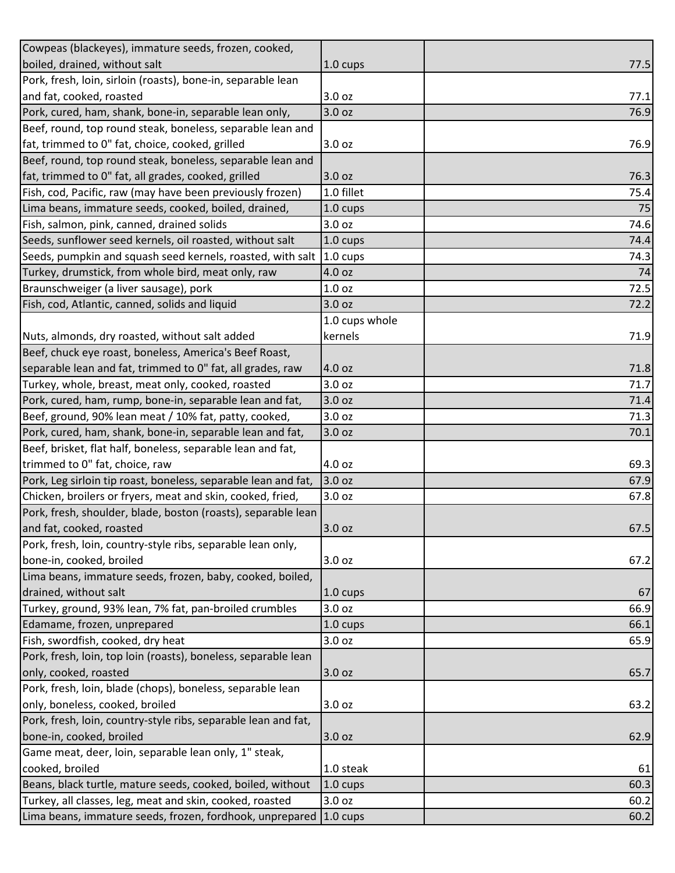| Cowpeas (blackeyes), immature seeds, frozen, cooked,           |                    |      |
|----------------------------------------------------------------|--------------------|------|
| boiled, drained, without salt                                  | 1.0 cups           | 77.5 |
| Pork, fresh, loin, sirloin (roasts), bone-in, separable lean   |                    |      |
| and fat, cooked, roasted                                       | 3.0 oz             | 77.1 |
| Pork, cured, ham, shank, bone-in, separable lean only,         | 3.0 oz             | 76.9 |
| Beef, round, top round steak, boneless, separable lean and     |                    |      |
| fat, trimmed to 0" fat, choice, cooked, grilled                | 3.0 oz             | 76.9 |
| Beef, round, top round steak, boneless, separable lean and     |                    |      |
| fat, trimmed to 0" fat, all grades, cooked, grilled            | 3.0 oz             | 76.3 |
| Fish, cod, Pacific, raw (may have been previously frozen)      | 1.0 fillet         | 75.4 |
| Lima beans, immature seeds, cooked, boiled, drained,           | $1.0 \text{ cups}$ | 75   |
| Fish, salmon, pink, canned, drained solids                     | 3.0 oz             | 74.6 |
| Seeds, sunflower seed kernels, oil roasted, without salt       | $1.0 \text{ cups}$ | 74.4 |
| Seeds, pumpkin and squash seed kernels, roasted, with salt     | $1.0 \text{ cups}$ | 74.3 |
| Turkey, drumstick, from whole bird, meat only, raw             | 4.0 oz             | 74   |
| Braunschweiger (a liver sausage), pork                         | 1.0 <sub>oz</sub>  | 72.5 |
| Fish, cod, Atlantic, canned, solids and liquid                 | 3.0 oz             | 72.2 |
|                                                                | 1.0 cups whole     |      |
| Nuts, almonds, dry roasted, without salt added                 | kernels            | 71.9 |
| Beef, chuck eye roast, boneless, America's Beef Roast,         |                    |      |
| separable lean and fat, trimmed to 0" fat, all grades, raw     | 4.0 oz             | 71.8 |
| Turkey, whole, breast, meat only, cooked, roasted              | 3.0 oz             | 71.7 |
| Pork, cured, ham, rump, bone-in, separable lean and fat,       | 3.0 oz             | 71.4 |
| Beef, ground, 90% lean meat / 10% fat, patty, cooked,          | 3.0 oz             | 71.3 |
| Pork, cured, ham, shank, bone-in, separable lean and fat,      | 3.0 oz             | 70.1 |
| Beef, brisket, flat half, boneless, separable lean and fat,    |                    |      |
| trimmed to 0" fat, choice, raw                                 | 4.0 oz             | 69.3 |
| Pork, Leg sirloin tip roast, boneless, separable lean and fat, | 3.0 oz             | 67.9 |
| Chicken, broilers or fryers, meat and skin, cooked, fried,     | 3.0 oz             | 67.8 |
| Pork, fresh, shoulder, blade, boston (roasts), separable lean  |                    |      |
| and fat, cooked, roasted                                       | 3.0 oz             | 67.5 |
| Pork, fresh, loin, country-style ribs, separable lean only,    |                    |      |
| bone-in, cooked, broiled                                       | 3.0 <sub>oz</sub>  | 67.2 |
| Lima beans, immature seeds, frozen, baby, cooked, boiled,      |                    |      |
| drained, without salt                                          | $1.0 \text{ cups}$ | 67   |
| Turkey, ground, 93% lean, 7% fat, pan-broiled crumbles         | 3.0 <sub>oz</sub>  | 66.9 |
| Edamame, frozen, unprepared                                    | $1.0 \text{ cups}$ | 66.1 |
| Fish, swordfish, cooked, dry heat                              | 3.0 oz             | 65.9 |
| Pork, fresh, loin, top loin (roasts), boneless, separable lean |                    |      |
| only, cooked, roasted                                          | 3.0 oz             | 65.7 |
| Pork, fresh, loin, blade (chops), boneless, separable lean     |                    |      |
| only, boneless, cooked, broiled                                | 3.0 oz             | 63.2 |
| Pork, fresh, loin, country-style ribs, separable lean and fat, |                    |      |
| bone-in, cooked, broiled                                       | 3.0 oz             | 62.9 |
| Game meat, deer, loin, separable lean only, 1" steak,          |                    |      |
| cooked, broiled                                                | 1.0 steak          | 61   |
| Beans, black turtle, mature seeds, cooked, boiled, without     | 1.0 cups           | 60.3 |
| Turkey, all classes, leg, meat and skin, cooked, roasted       | 3.0 oz             | 60.2 |
| Lima beans, immature seeds, frozen, fordhook, unprepared       | $1.0 \text{ cups}$ | 60.2 |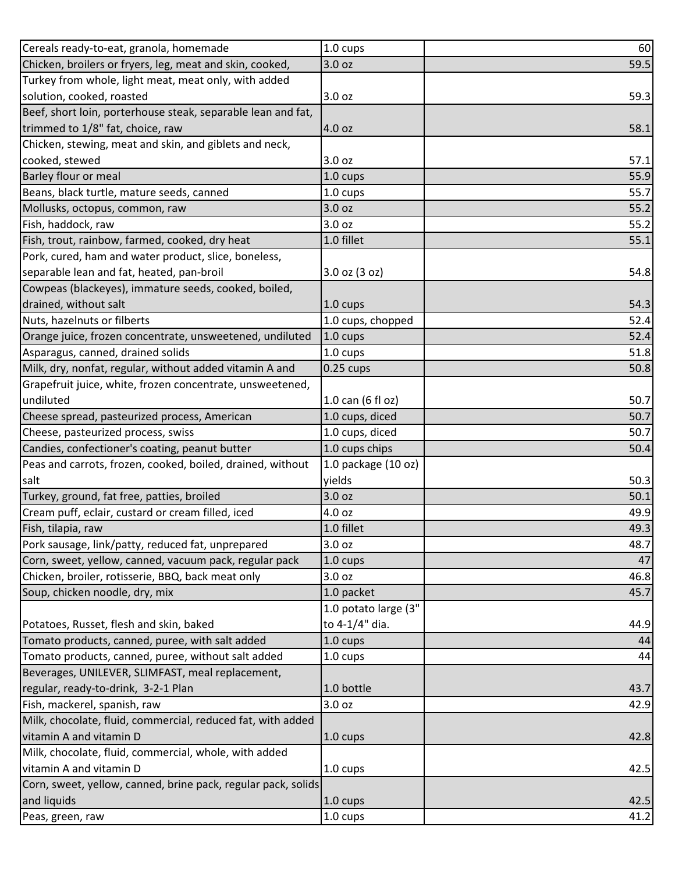| Cereals ready-to-eat, granola, homemade                       | 1.0 cups             | 60   |
|---------------------------------------------------------------|----------------------|------|
| Chicken, broilers or fryers, leg, meat and skin, cooked,      | 3.0 oz               | 59.5 |
| Turkey from whole, light meat, meat only, with added          |                      |      |
| solution, cooked, roasted                                     | 3.0 oz               | 59.3 |
| Beef, short loin, porterhouse steak, separable lean and fat,  |                      |      |
| trimmed to 1/8" fat, choice, raw                              | 4.0 oz               | 58.1 |
| Chicken, stewing, meat and skin, and giblets and neck,        |                      |      |
| cooked, stewed                                                | 3.0 <sub>oz</sub>    | 57.1 |
| <b>Barley flour or meal</b>                                   | 1.0 cups             | 55.9 |
| Beans, black turtle, mature seeds, canned                     | 1.0 cups             | 55.7 |
| Mollusks, octopus, common, raw                                | 3.0 oz               | 55.2 |
| Fish, haddock, raw                                            | 3.0 oz               | 55.2 |
| Fish, trout, rainbow, farmed, cooked, dry heat                | 1.0 fillet           | 55.1 |
| Pork, cured, ham and water product, slice, boneless,          |                      |      |
| separable lean and fat, heated, pan-broil                     | 3.0 oz (3 oz)        | 54.8 |
| Cowpeas (blackeyes), immature seeds, cooked, boiled,          |                      |      |
| drained, without salt                                         | $1.0 \text{ cups}$   | 54.3 |
| Nuts, hazelnuts or filberts                                   | 1.0 cups, chopped    | 52.4 |
| Orange juice, frozen concentrate, unsweetened, undiluted      | 1.0 cups             | 52.4 |
| Asparagus, canned, drained solids                             | $1.0 \text{ cups}$   | 51.8 |
| Milk, dry, nonfat, regular, without added vitamin A and       | $0.25$ cups          | 50.8 |
| Grapefruit juice, white, frozen concentrate, unsweetened,     |                      |      |
| undiluted                                                     | 1.0 can (6 fl oz)    | 50.7 |
| Cheese spread, pasteurized process, American                  | 1.0 cups, diced      | 50.7 |
| Cheese, pasteurized process, swiss                            | 1.0 cups, diced      | 50.7 |
| Candies, confectioner's coating, peanut butter                | 1.0 cups chips       | 50.4 |
| Peas and carrots, frozen, cooked, boiled, drained, without    | 1.0 package (10 oz)  |      |
| salt                                                          | yields               | 50.3 |
| Turkey, ground, fat free, patties, broiled                    | 3.0 oz               | 50.1 |
| Cream puff, eclair, custard or cream filled, iced             | 4.0 oz               | 49.9 |
| Fish, tilapia, raw                                            | 1.0 fillet           | 49.3 |
| Pork sausage, link/patty, reduced fat, unprepared             | 3.0 oz               | 48.7 |
| Corn, sweet, yellow, canned, vacuum pack, regular pack        | $1.0 \text{ cups}$   | 47   |
| Chicken, broiler, rotisserie, BBQ, back meat only             | 3.0 oz               | 46.8 |
| Soup, chicken noodle, dry, mix                                | 1.0 packet           | 45.7 |
|                                                               | 1.0 potato large (3" |      |
| Potatoes, Russet, flesh and skin, baked                       | to 4-1/4" dia.       | 44.9 |
| Tomato products, canned, puree, with salt added               | $1.0 \text{ cups}$   | 44   |
| Tomato products, canned, puree, without salt added            | $1.0 \text{ cups}$   | 44   |
| Beverages, UNILEVER, SLIMFAST, meal replacement,              |                      |      |
| regular, ready-to-drink, 3-2-1 Plan                           | 1.0 bottle           | 43.7 |
| Fish, mackerel, spanish, raw                                  | 3.0 oz               | 42.9 |
| Milk, chocolate, fluid, commercial, reduced fat, with added   |                      |      |
| vitamin A and vitamin D                                       | $1.0 \text{ cups}$   | 42.8 |
| Milk, chocolate, fluid, commercial, whole, with added         |                      |      |
| vitamin A and vitamin D                                       | 1.0 cups             | 42.5 |
| Corn, sweet, yellow, canned, brine pack, regular pack, solids |                      |      |
| and liquids                                                   | $1.0 \text{ cups}$   | 42.5 |
| Peas, green, raw                                              | 1.0 cups             | 41.2 |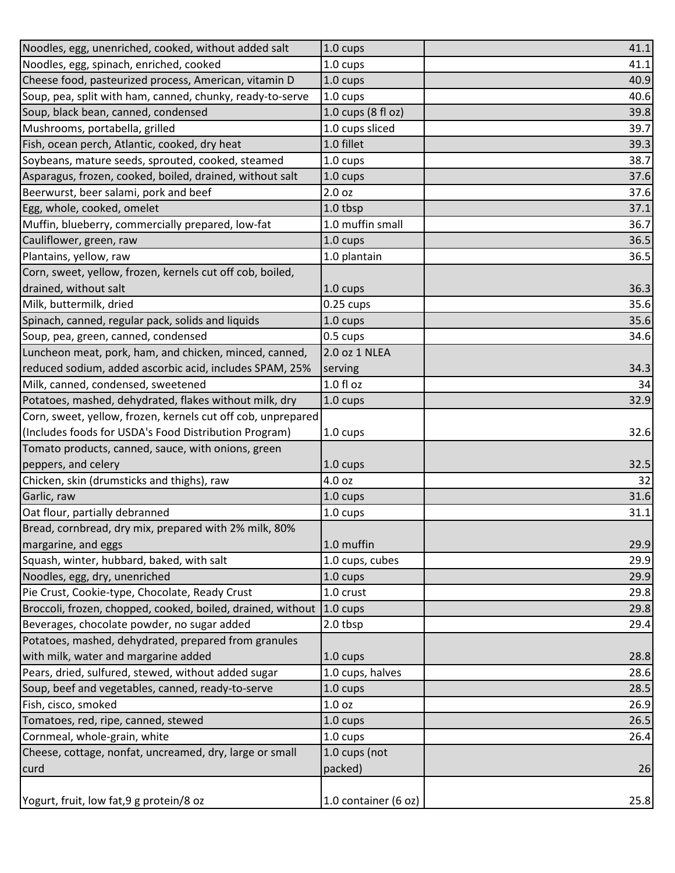| Noodles, egg, unenriched, cooked, without added salt         | $1.0 \text{ cups}$        | 41.1 |
|--------------------------------------------------------------|---------------------------|------|
| Noodles, egg, spinach, enriched, cooked                      | 1.0 cups                  | 41.1 |
| Cheese food, pasteurized process, American, vitamin D        | $1.0 \text{ cups}$        | 40.9 |
| Soup, pea, split with ham, canned, chunky, ready-to-serve    | $1.0 \text{ cups}$        | 40.6 |
| Soup, black bean, canned, condensed                          | $1.0$ cups (8 fl oz)      | 39.8 |
| Mushrooms, portabella, grilled                               | 1.0 cups sliced           | 39.7 |
| Fish, ocean perch, Atlantic, cooked, dry heat                | 1.0 fillet                | 39.3 |
| Soybeans, mature seeds, sprouted, cooked, steamed            | $1.0 \text{ cups}$        | 38.7 |
| Asparagus, frozen, cooked, boiled, drained, without salt     | $1.0 \text{ cups}$        | 37.6 |
| Beerwurst, beer salami, pork and beef                        | 2.0 <sub>oz</sub>         | 37.6 |
| Egg, whole, cooked, omelet                                   | 1.0 tbsp                  | 37.1 |
| Muffin, blueberry, commercially prepared, low-fat            | 1.0 muffin small          | 36.7 |
| Cauliflower, green, raw                                      | $1.0 \text{ cups}$        | 36.5 |
| Plantains, yellow, raw                                       | 1.0 plantain              | 36.5 |
| Corn, sweet, yellow, frozen, kernels cut off cob, boiled,    |                           |      |
| drained, without salt                                        | $1.0 \text{ cups}$        | 36.3 |
| Milk, buttermilk, dried                                      | $0.25 \text{ cups}$       | 35.6 |
| Spinach, canned, regular pack, solids and liquids            | $1.0 \text{ cups}$        | 35.6 |
| Soup, pea, green, canned, condensed                          | $0.5 \text{ cups}$        | 34.6 |
| Luncheon meat, pork, ham, and chicken, minced, canned,       | 2.0 oz 1 NLEA             |      |
| reduced sodium, added ascorbic acid, includes SPAM, 25%      | serving                   | 34.3 |
| Milk, canned, condensed, sweetened                           | $1.0 f$ l oz              | 34   |
| Potatoes, mashed, dehydrated, flakes without milk, dry       | $1.0 \text{ cups}$        | 32.9 |
| Corn, sweet, yellow, frozen, kernels cut off cob, unprepared |                           |      |
| (Includes foods for USDA's Food Distribution Program)        | $1.0 \text{ cups}$        | 32.6 |
| Tomato products, canned, sauce, with onions, green           |                           |      |
| peppers, and celery                                          | $1.0 \text{ cups}$        | 32.5 |
| Chicken, skin (drumsticks and thighs), raw                   | 4.0 oz                    | 32   |
| Garlic, raw                                                  | $1.0 \text{ cups}$        | 31.6 |
| Oat flour, partially debranned                               | 1.0 cups                  | 31.1 |
| Bread, cornbread, dry mix, prepared with 2% milk, 80%        |                           |      |
| margarine, and eggs                                          | 1.0 muffin                | 29.9 |
| Squash, winter, hubbard, baked, with salt                    | 1.0 cups, cubes           | 29.9 |
| Noodles, egg, dry, unenriched                                | $1.0 \text{ cups}$        | 29.9 |
| Pie Crust, Cookie-type, Chocolate, Ready Crust               | 1.0 crust                 | 29.8 |
| Broccoli, frozen, chopped, cooked, boiled, drained, without  | $1.0 \text{ cups}$        | 29.8 |
| Beverages, chocolate powder, no sugar added                  | 2.0 tbsp                  | 29.4 |
| Potatoes, mashed, dehydrated, prepared from granules         |                           |      |
| with milk, water and margarine added                         | $1.0 \text{ cups}$        | 28.8 |
| Pears, dried, sulfured, stewed, without added sugar          | 1.0 cups, halves          | 28.6 |
| Soup, beef and vegetables, canned, ready-to-serve            | 1.0 cups                  | 28.5 |
| Fish, cisco, smoked                                          | 1.0 <sub>oz</sub>         | 26.9 |
| Tomatoes, red, ripe, canned, stewed                          | $1.0 \text{ cups}$        | 26.5 |
| Cornmeal, whole-grain, white                                 |                           | 26.4 |
| Cheese, cottage, nonfat, uncreamed, dry, large or small      | 1.0 cups<br>1.0 cups (not |      |
|                                                              | packed)                   |      |
| curd                                                         |                           | 26   |
|                                                              |                           |      |
| Yogurt, fruit, low fat, 9 g protein/8 oz                     | 1.0 container (6 oz)      | 25.8 |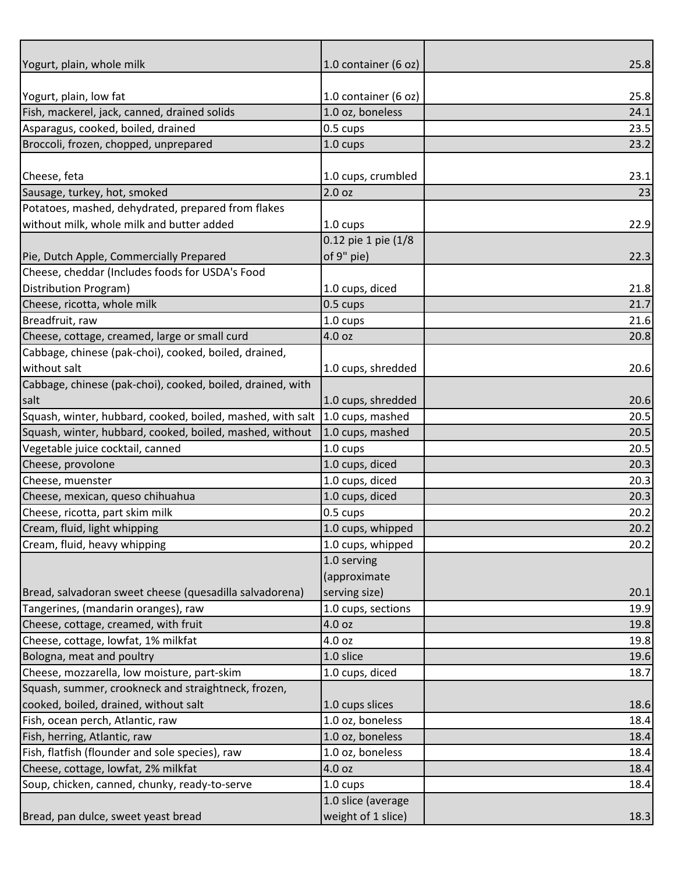| Yogurt, plain, whole milk                                  | 1.0 container (6 oz) | 25.8         |
|------------------------------------------------------------|----------------------|--------------|
|                                                            |                      |              |
| Yogurt, plain, low fat                                     | 1.0 container (6 oz) | 25.8         |
| Fish, mackerel, jack, canned, drained solids               | 1.0 oz, boneless     | 24.1         |
| Asparagus, cooked, boiled, drained                         | $0.5 \text{ cups}$   | 23.5         |
| Broccoli, frozen, chopped, unprepared                      | 1.0 cups             | 23.2         |
|                                                            |                      |              |
| Cheese, feta                                               | 1.0 cups, crumbled   | 23.1         |
| Sausage, turkey, hot, smoked                               | 2.0 <sub>oz</sub>    | 23           |
| Potatoes, mashed, dehydrated, prepared from flakes         |                      |              |
| without milk, whole milk and butter added                  | $1.0 \text{ cups}$   | 22.9         |
|                                                            | 0.12 pie 1 pie (1/8  |              |
| Pie, Dutch Apple, Commercially Prepared                    | of 9" pie)           | 22.3         |
| Cheese, cheddar (Includes foods for USDA's Food            |                      |              |
| Distribution Program)                                      | 1.0 cups, diced      | 21.8         |
| Cheese, ricotta, whole milk<br>Breadfruit, raw             | 0.5 cups             | 21.7<br>21.6 |
| Cheese, cottage, creamed, large or small curd              | 1.0 cups<br>4.0 oz   | 20.8         |
| Cabbage, chinese (pak-choi), cooked, boiled, drained,      |                      |              |
| without salt                                               | 1.0 cups, shredded   | 20.6         |
| Cabbage, chinese (pak-choi), cooked, boiled, drained, with |                      |              |
| salt                                                       | 1.0 cups, shredded   | 20.6         |
| Squash, winter, hubbard, cooked, boiled, mashed, with salt | 1.0 cups, mashed     | 20.5         |
| Squash, winter, hubbard, cooked, boiled, mashed, without   | 1.0 cups, mashed     | 20.5         |
| Vegetable juice cocktail, canned                           | 1.0 cups             | 20.5         |
| Cheese, provolone                                          | 1.0 cups, diced      | 20.3         |
| Cheese, muenster                                           | 1.0 cups, diced      | 20.3         |
| Cheese, mexican, queso chihuahua                           | 1.0 cups, diced      | 20.3         |
| Cheese, ricotta, part skim milk                            | $0.5 \text{ cups}$   | 20.2         |
| Cream, fluid, light whipping                               | 1.0 cups, whipped    | 20.2         |
| Cream, fluid, heavy whipping                               | 1.0 cups, whipped    | 20.2         |
|                                                            | 1.0 serving          |              |
|                                                            | (approximate         |              |
| Bread, salvadoran sweet cheese (quesadilla salvadorena)    | serving size)        | 20.1         |
| Tangerines, (mandarin oranges), raw                        | 1.0 cups, sections   | 19.9         |
| Cheese, cottage, creamed, with fruit                       | 4.0 oz               | 19.8         |
| Cheese, cottage, lowfat, 1% milkfat                        | 4.0 oz               | 19.8         |
| Bologna, meat and poultry                                  | 1.0 slice            | 19.6         |
| Cheese, mozzarella, low moisture, part-skim                | 1.0 cups, diced      | 18.7         |
| Squash, summer, crookneck and straightneck, frozen,        |                      |              |
| cooked, boiled, drained, without salt                      | 1.0 cups slices      | 18.6         |
| Fish, ocean perch, Atlantic, raw                           | 1.0 oz, boneless     | 18.4         |
| Fish, herring, Atlantic, raw                               | 1.0 oz, boneless     | 18.4         |
| Fish, flatfish (flounder and sole species), raw            | 1.0 oz, boneless     | 18.4         |
| Cheese, cottage, lowfat, 2% milkfat                        | 4.0 oz               | 18.4         |
| Soup, chicken, canned, chunky, ready-to-serve              | $1.0 \text{ cups}$   | 18.4         |
|                                                            | 1.0 slice (average   |              |
| Bread, pan dulce, sweet yeast bread                        | weight of 1 slice)   | 18.3         |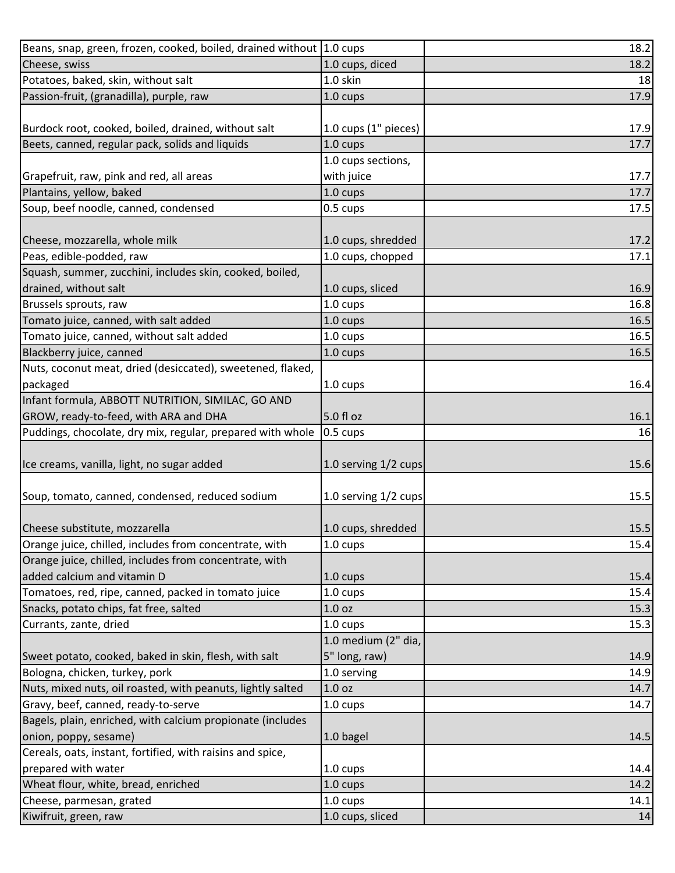| Beans, snap, green, frozen, cooked, boiled, drained without 1.0 cups |                          | 18.2 |
|----------------------------------------------------------------------|--------------------------|------|
| Cheese, swiss                                                        | 1.0 cups, diced          | 18.2 |
| Potatoes, baked, skin, without salt                                  | 1.0 skin                 | 18   |
| Passion-fruit, (granadilla), purple, raw                             | 1.0 cups                 | 17.9 |
|                                                                      |                          |      |
| Burdock root, cooked, boiled, drained, without salt                  | $1.0$ cups $(1"$ pieces) | 17.9 |
| Beets, canned, regular pack, solids and liquids                      | 1.0 cups                 | 17.7 |
|                                                                      | 1.0 cups sections,       |      |
| Grapefruit, raw, pink and red, all areas                             | with juice               | 17.7 |
| Plantains, yellow, baked                                             | $1.0 \text{ cups}$       | 17.7 |
| Soup, beef noodle, canned, condensed                                 | 0.5 cups                 | 17.5 |
|                                                                      |                          |      |
| Cheese, mozzarella, whole milk                                       | 1.0 cups, shredded       | 17.2 |
| Peas, edible-podded, raw                                             | 1.0 cups, chopped        | 17.1 |
| Squash, summer, zucchini, includes skin, cooked, boiled,             |                          |      |
| drained, without salt                                                | 1.0 cups, sliced         | 16.9 |
| Brussels sprouts, raw                                                | 1.0 cups                 | 16.8 |
| Tomato juice, canned, with salt added                                | 1.0 cups                 | 16.5 |
| Tomato juice, canned, without salt added                             | 1.0 cups                 | 16.5 |
| Blackberry juice, canned                                             | $1.0 \text{ cups}$       | 16.5 |
| Nuts, coconut meat, dried (desiccated), sweetened, flaked,           |                          |      |
| packaged                                                             | $1.0 \text{ cups}$       | 16.4 |
| Infant formula, ABBOTT NUTRITION, SIMILAC, GO AND                    |                          |      |
| GROW, ready-to-feed, with ARA and DHA                                | 5.0 fl oz                | 16.1 |
| Puddings, chocolate, dry mix, regular, prepared with whole           | $0.5 \text{ cups}$       | 16   |
|                                                                      |                          |      |
| Ice creams, vanilla, light, no sugar added                           | 1.0 serving 1/2 cups     | 15.6 |
|                                                                      |                          |      |
| Soup, tomato, canned, condensed, reduced sodium                      | 1.0 serving 1/2 cups     | 15.5 |
|                                                                      |                          |      |
| Cheese substitute, mozzarella                                        | 1.0 cups, shredded       | 15.5 |
| Orange juice, chilled, includes from concentrate, with               | 1.0 cups                 | 15.4 |
| Orange juice, chilled, includes from concentrate, with               |                          |      |
| added calcium and vitamin D                                          | $1.0 \text{ cups}$       | 15.4 |
| Tomatoes, red, ripe, canned, packed in tomato juice                  | $1.0 \text{ cups}$       | 15.4 |
| Snacks, potato chips, fat free, salted                               | 1.0 <sub>oz</sub>        | 15.3 |
| Currants, zante, dried                                               | 1.0 cups                 | 15.3 |
|                                                                      | 1.0 medium (2" dia,      |      |
| Sweet potato, cooked, baked in skin, flesh, with salt                | 5" long, raw)            | 14.9 |
| Bologna, chicken, turkey, pork                                       | 1.0 serving              | 14.9 |
| Nuts, mixed nuts, oil roasted, with peanuts, lightly salted          | 1.0 <sub>oz</sub>        | 14.7 |
| Gravy, beef, canned, ready-to-serve                                  | $1.0 \text{ cups}$       | 14.7 |
| Bagels, plain, enriched, with calcium propionate (includes           |                          |      |
| onion, poppy, sesame)                                                | 1.0 bagel                | 14.5 |
| Cereals, oats, instant, fortified, with raisins and spice,           |                          |      |
| prepared with water                                                  | 1.0 cups                 | 14.4 |
| Wheat flour, white, bread, enriched                                  | 1.0 cups                 | 14.2 |
| Cheese, parmesan, grated                                             | 1.0 cups                 | 14.1 |
| Kiwifruit, green, raw                                                | 1.0 cups, sliced         | 14   |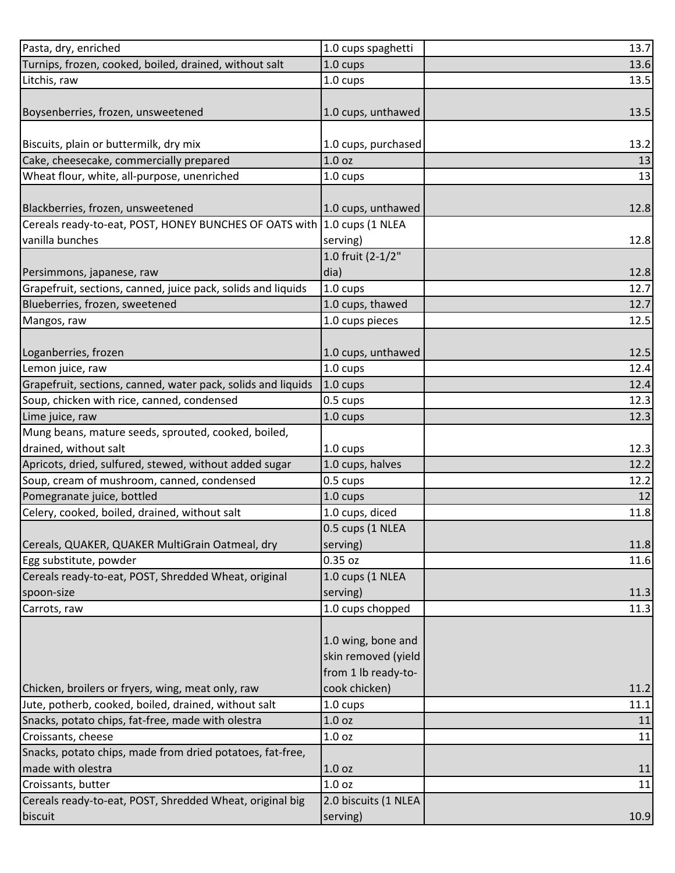| Pasta, dry, enriched                                                    | 1.0 cups spaghetti   | 13.7 |
|-------------------------------------------------------------------------|----------------------|------|
| Turnips, frozen, cooked, boiled, drained, without salt                  | 1.0 cups             | 13.6 |
| Litchis, raw                                                            | 1.0 cups             | 13.5 |
|                                                                         |                      |      |
| Boysenberries, frozen, unsweetened                                      | 1.0 cups, unthawed   | 13.5 |
|                                                                         |                      |      |
| Biscuits, plain or buttermilk, dry mix                                  | 1.0 cups, purchased  | 13.2 |
| Cake, cheesecake, commercially prepared                                 | 1.0 <sub>oz</sub>    | 13   |
| Wheat flour, white, all-purpose, unenriched                             | 1.0 cups             | 13   |
|                                                                         |                      |      |
| Blackberries, frozen, unsweetened                                       | 1.0 cups, unthawed   | 12.8 |
| Cereals ready-to-eat, POST, HONEY BUNCHES OF OATS with 1.0 cups (1 NLEA |                      |      |
| vanilla bunches                                                         | serving)             | 12.8 |
|                                                                         | 1.0 fruit (2-1/2"    |      |
| Persimmons, japanese, raw                                               | dia)                 | 12.8 |
| Grapefruit, sections, canned, juice pack, solids and liquids            | 1.0 cups             | 12.7 |
| Blueberries, frozen, sweetened                                          | 1.0 cups, thawed     | 12.7 |
| Mangos, raw                                                             | 1.0 cups pieces      | 12.5 |
|                                                                         |                      |      |
| Loganberries, frozen                                                    | 1.0 cups, unthawed   | 12.5 |
| Lemon juice, raw                                                        | 1.0 cups             | 12.4 |
| Grapefruit, sections, canned, water pack, solids and liquids            | 1.0 cups             | 12.4 |
| Soup, chicken with rice, canned, condensed                              | 0.5 cups             | 12.3 |
| Lime juice, raw                                                         | 1.0 cups             | 12.3 |
| Mung beans, mature seeds, sprouted, cooked, boiled,                     |                      |      |
| drained, without salt                                                   | 1.0 cups             | 12.3 |
| Apricots, dried, sulfured, stewed, without added sugar                  | 1.0 cups, halves     | 12.2 |
| Soup, cream of mushroom, canned, condensed                              | 0.5 cups             | 12.2 |
| Pomegranate juice, bottled                                              | 1.0 cups             | 12   |
| Celery, cooked, boiled, drained, without salt                           | 1.0 cups, diced      | 11.8 |
|                                                                         | 0.5 cups (1 NLEA     |      |
| Cereals, QUAKER, QUAKER MultiGrain Oatmeal, dry                         | serving)             | 11.8 |
| Egg substitute, powder                                                  | $0.35$ oz            | 11.6 |
| Cereals ready-to-eat, POST, Shredded Wheat, original                    | 1.0 cups (1 NLEA     |      |
| spoon-size                                                              | serving)             | 11.3 |
| Carrots, raw                                                            | 1.0 cups chopped     | 11.3 |
|                                                                         |                      |      |
|                                                                         | 1.0 wing, bone and   |      |
|                                                                         | skin removed (yield  |      |
|                                                                         | from 1 lb ready-to-  |      |
| Chicken, broilers or fryers, wing, meat only, raw                       | cook chicken)        | 11.2 |
| Jute, potherb, cooked, boiled, drained, without salt                    | $1.0 \text{ cups}$   | 11.1 |
| Snacks, potato chips, fat-free, made with olestra                       | 1.0 oz               | 11   |
| Croissants, cheese                                                      | 1.0 <sub>oz</sub>    | 11   |
| Snacks, potato chips, made from dried potatoes, fat-free,               |                      |      |
| made with olestra                                                       | 1.0 <sub>oz</sub>    | 11   |
| Croissants, butter                                                      | 1.0 <sub>oz</sub>    | 11   |
| Cereals ready-to-eat, POST, Shredded Wheat, original big                | 2.0 biscuits (1 NLEA |      |
| biscuit                                                                 | serving)             | 10.9 |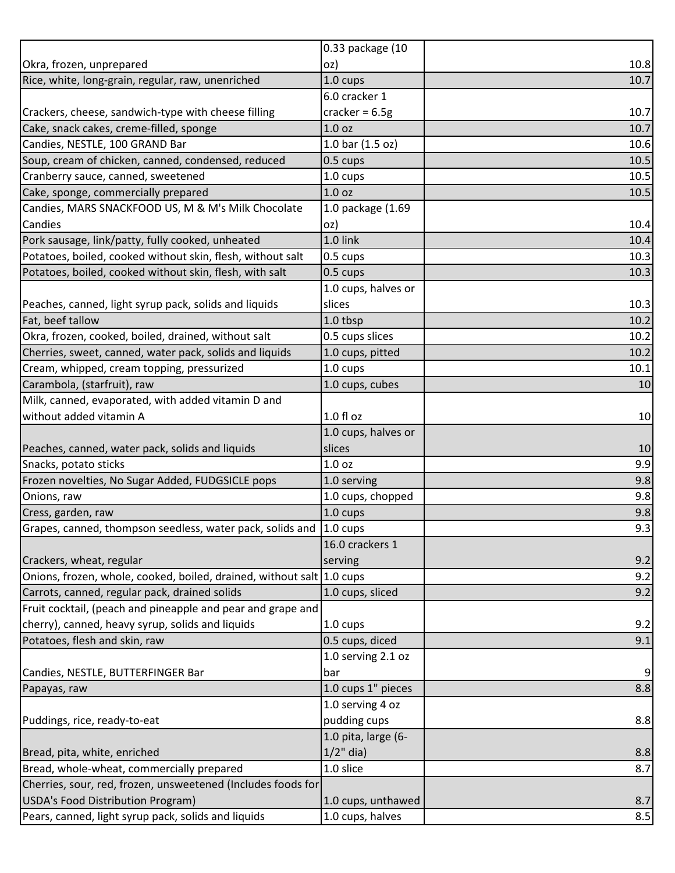|                                                                       | 0.33 package (10    |                |
|-----------------------------------------------------------------------|---------------------|----------------|
| Okra, frozen, unprepared                                              | oz)                 | 10.8           |
| Rice, white, long-grain, regular, raw, unenriched                     | 1.0 cups            | 10.7           |
|                                                                       | 6.0 cracker 1       |                |
| Crackers, cheese, sandwich-type with cheese filling                   | cracker = $6.5g$    | 10.7           |
| Cake, snack cakes, creme-filled, sponge                               | 1.0 <sub>oz</sub>   | 10.7           |
| Candies, NESTLE, 100 GRAND Bar                                        | 1.0 bar (1.5 oz)    | 10.6           |
| Soup, cream of chicken, canned, condensed, reduced                    | $0.5 \text{ cups}$  | 10.5           |
| Cranberry sauce, canned, sweetened                                    | 1.0 cups            | 10.5           |
| Cake, sponge, commercially prepared                                   | 1.0 <sub>oz</sub>   | 10.5           |
| Candies, MARS SNACKFOOD US, M & M's Milk Chocolate                    | 1.0 package (1.69   |                |
| Candies                                                               | oz)                 | 10.4           |
| Pork sausage, link/patty, fully cooked, unheated                      | 1.0 link            | 10.4           |
| Potatoes, boiled, cooked without skin, flesh, without salt            | 0.5 cups            | 10.3           |
| Potatoes, boiled, cooked without skin, flesh, with salt               | $0.5 \text{ cups}$  | 10.3           |
|                                                                       | 1.0 cups, halves or |                |
| Peaches, canned, light syrup pack, solids and liquids                 | slices              | 10.3           |
| Fat, beef tallow                                                      | 1.0 tbsp            | 10.2           |
| Okra, frozen, cooked, boiled, drained, without salt                   | 0.5 cups slices     | 10.2           |
| Cherries, sweet, canned, water pack, solids and liquids               | 1.0 cups, pitted    | 10.2           |
| Cream, whipped, cream topping, pressurized                            | 1.0 cups            | 10.1           |
| Carambola, (starfruit), raw                                           | 1.0 cups, cubes     | 10             |
| Milk, canned, evaporated, with added vitamin D and                    |                     |                |
| without added vitamin A                                               | $1.0 f$ l oz        | 10             |
|                                                                       | 1.0 cups, halves or |                |
| Peaches, canned, water pack, solids and liquids                       | slices              | 10             |
| Snacks, potato sticks                                                 | 1.0 <sub>oz</sub>   | 9.9            |
| Frozen novelties, No Sugar Added, FUDGSICLE pops                      | 1.0 serving         | 9.8            |
| Onions, raw                                                           | 1.0 cups, chopped   | 9.8            |
| Cress, garden, raw                                                    | $1.0 \text{ cups}$  | 9.8            |
| Grapes, canned, thompson seedless, water pack, solids and             | $1.0 \text{ cups}$  | 9.3            |
|                                                                       | 16.0 crackers 1     |                |
| Crackers, wheat, regular                                              | serving             | 9.2            |
| Onions, frozen, whole, cooked, boiled, drained, without salt 1.0 cups |                     | 9.2            |
| Carrots, canned, regular pack, drained solids                         | 1.0 cups, sliced    | 9.2            |
| Fruit cocktail, (peach and pineapple and pear and grape and           |                     |                |
| cherry), canned, heavy syrup, solids and liquids                      | 1.0 cups            | 9.2            |
| Potatoes, flesh and skin, raw                                         | 0.5 cups, diced     | 9.1            |
|                                                                       | 1.0 serving 2.1 oz  |                |
| Candies, NESTLE, BUTTERFINGER Bar                                     | bar                 | $\overline{9}$ |
| Papayas, raw                                                          | 1.0 cups 1" pieces  | 8.8            |
|                                                                       | 1.0 serving 4 oz    |                |
| Puddings, rice, ready-to-eat                                          | pudding cups        | 8.8            |
|                                                                       | 1.0 pita, large (6- |                |
| Bread, pita, white, enriched                                          | $1/2$ " dia)        | 8.8            |
| Bread, whole-wheat, commercially prepared                             | 1.0 slice           | 8.7            |
| Cherries, sour, red, frozen, unsweetened (Includes foods for          |                     |                |
| USDA's Food Distribution Program)                                     | 1.0 cups, unthawed  | 8.7            |
| Pears, canned, light syrup pack, solids and liquids                   | 1.0 cups, halves    | 8.5            |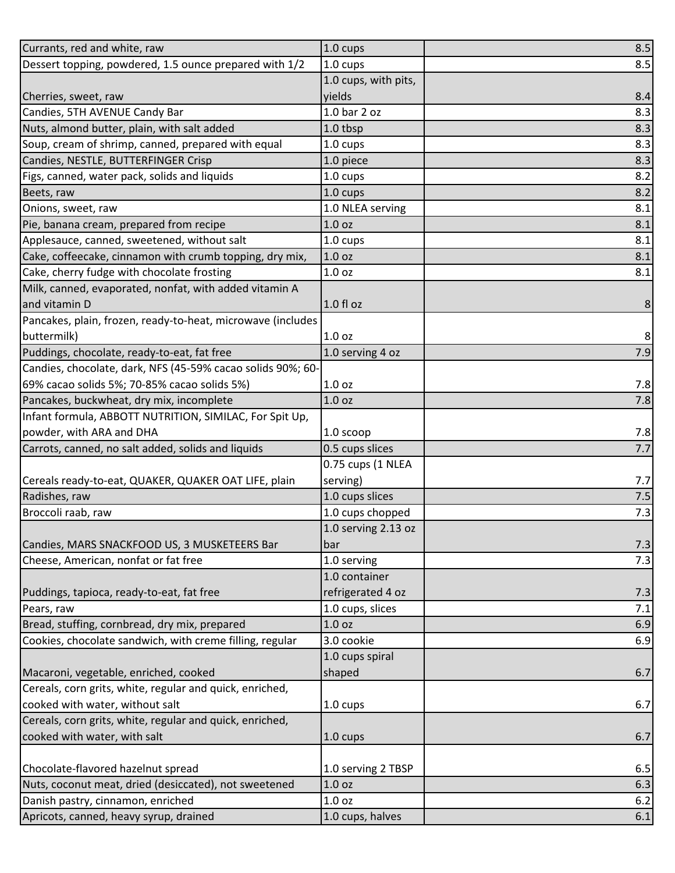| Currants, red and white, raw                                | 1.0 cups             | 8.5            |
|-------------------------------------------------------------|----------------------|----------------|
| Dessert topping, powdered, 1.5 ounce prepared with 1/2      | $1.0 \text{ cups}$   | 8.5            |
|                                                             | 1.0 cups, with pits, |                |
| Cherries, sweet, raw                                        | vields               | 8.4            |
| Candies, 5TH AVENUE Candy Bar                               | $1.0bar$ 2 oz        | 8.3            |
| Nuts, almond butter, plain, with salt added                 | 1.0 tbsp             | 8.3            |
| Soup, cream of shrimp, canned, prepared with equal          | 1.0 cups             | 8.3            |
| Candies, NESTLE, BUTTERFINGER Crisp                         | 1.0 piece            | 8.3            |
| Figs, canned, water pack, solids and liquids                | 1.0 cups             | 8.2            |
| Beets, raw                                                  | $1.0 \text{ cups}$   | 8.2            |
| Onions, sweet, raw                                          | 1.0 NLEA serving     | 8.1            |
| Pie, banana cream, prepared from recipe                     | 1.0 <sub>oz</sub>    | 8.1            |
| Applesauce, canned, sweetened, without salt                 | 1.0 cups             | 8.1            |
| Cake, coffeecake, cinnamon with crumb topping, dry mix,     | 1.0 <sub>oz</sub>    | 8.1            |
| Cake, cherry fudge with chocolate frosting                  | 1.0 <sub>oz</sub>    | 8.1            |
| Milk, canned, evaporated, nonfat, with added vitamin A      |                      |                |
| and vitamin D                                               | $1.0 f$ l oz         | $\bf 8$        |
| Pancakes, plain, frozen, ready-to-heat, microwave (includes |                      |                |
| buttermilk)                                                 | 1.0 <sub>oz</sub>    | 8 <sup>°</sup> |
| Puddings, chocolate, ready-to-eat, fat free                 | 1.0 serving 4 oz     | 7.9            |
| Candies, chocolate, dark, NFS (45-59% cacao solids 90%; 60- |                      |                |
| 69% cacao solids 5%; 70-85% cacao solids 5%)                | 1.0 <sub>oz</sub>    | 7.8            |
| Pancakes, buckwheat, dry mix, incomplete                    | 1.0 <sub>oz</sub>    | 7.8            |
| Infant formula, ABBOTT NUTRITION, SIMILAC, For Spit Up,     |                      |                |
| powder, with ARA and DHA                                    | $1.0$ scoop          | 7.8            |
| Carrots, canned, no salt added, solids and liquids          | 0.5 cups slices      | 7.7            |
|                                                             | 0.75 cups (1 NLEA    |                |
| Cereals ready-to-eat, QUAKER, QUAKER OAT LIFE, plain        | serving)             | 7.7            |
| Radishes, raw                                               | 1.0 cups slices      | 7.5            |
| Broccoli raab, raw                                          | 1.0 cups chopped     | 7.3            |
|                                                             | 1.0 serving 2.13 oz  |                |
| Candies, MARS SNACKFOOD US, 3 MUSKETEERS Bar                | bar                  | 7.3            |
| Cheese, American, nonfat or fat free                        | 1.0 serving          | 7.3            |
|                                                             | 1.0 container        |                |
| Puddings, tapioca, ready-to-eat, fat free                   | refrigerated 4 oz    | 7.3            |
| Pears, raw                                                  | 1.0 cups, slices     | 7.1            |
| Bread, stuffing, cornbread, dry mix, prepared               | 1.0 <sub>oz</sub>    | 6.9            |
| Cookies, chocolate sandwich, with creme filling, regular    | 3.0 cookie           | 6.9            |
|                                                             | 1.0 cups spiral      |                |
| Macaroni, vegetable, enriched, cooked                       | shaped               | 6.7            |
| Cereals, corn grits, white, regular and quick, enriched,    |                      |                |
| cooked with water, without salt                             | 1.0 cups             | 6.7            |
| Cereals, corn grits, white, regular and quick, enriched,    |                      |                |
| cooked with water, with salt                                | $1.0 \text{ cups}$   | 6.7            |
|                                                             |                      |                |
| Chocolate-flavored hazelnut spread                          | 1.0 serving 2 TBSP   | 6.5            |
| Nuts, coconut meat, dried (desiccated), not sweetened       | 1.0 <sub>oz</sub>    | 6.3            |
| Danish pastry, cinnamon, enriched                           | 1.0 <sub>oz</sub>    | 6.2            |
| Apricots, canned, heavy syrup, drained                      | 1.0 cups, halves     | 6.1            |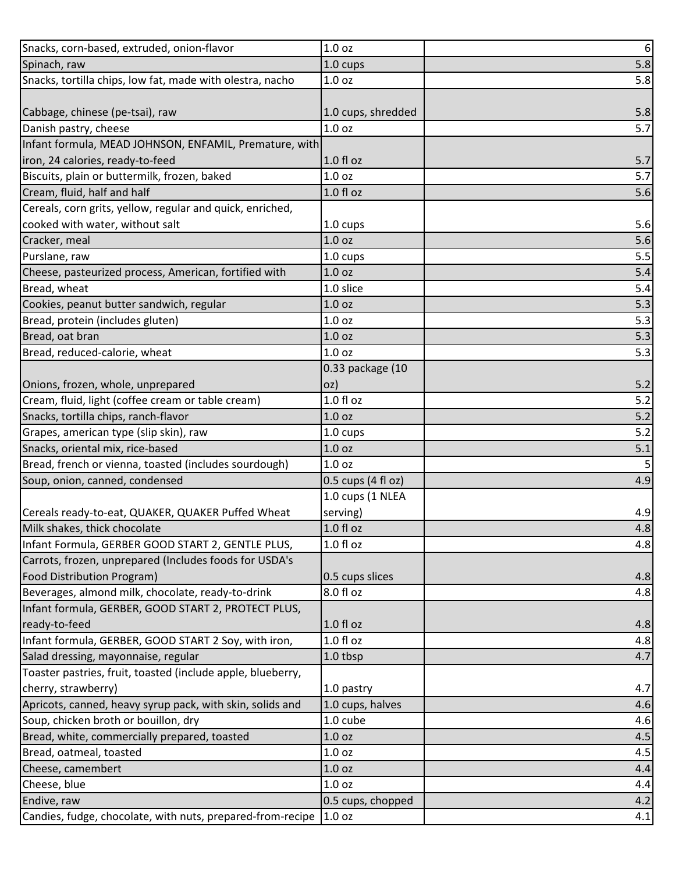| Snacks, corn-based, extruded, onion-flavor                  | 1.0 <sub>oz</sub>    | $\boldsymbol{6}$ |
|-------------------------------------------------------------|----------------------|------------------|
| Spinach, raw                                                | $1.0 \text{ cups}$   | 5.8              |
| Snacks, tortilla chips, low fat, made with olestra, nacho   | 1.0 <sub>oz</sub>    | 5.8              |
|                                                             |                      |                  |
| Cabbage, chinese (pe-tsai), raw                             | 1.0 cups, shredded   | 5.8              |
| Danish pastry, cheese                                       | 1.0 <sub>oz</sub>    | 5.7              |
| Infant formula, MEAD JOHNSON, ENFAMIL, Premature, with      |                      |                  |
| iron, 24 calories, ready-to-feed                            | $1.0 f$ l oz         | 5.7              |
| Biscuits, plain or buttermilk, frozen, baked                | 1.0 <sub>oz</sub>    | 5.7              |
| Cream, fluid, half and half                                 | $1.0 f$ l oz         | 5.6              |
| Cereals, corn grits, yellow, regular and quick, enriched,   |                      |                  |
| cooked with water, without salt                             | 1.0 cups             | 5.6              |
| Cracker, meal                                               | 1.0 <sub>oz</sub>    | 5.6              |
| Purslane, raw                                               | $1.0 \text{ cups}$   | 5.5              |
| Cheese, pasteurized process, American, fortified with       | 1.0 <sub>oz</sub>    | 5.4              |
| Bread, wheat                                                | 1.0 slice            | 5.4              |
| Cookies, peanut butter sandwich, regular                    | 1.0 <sub>oz</sub>    | 5.3              |
| Bread, protein (includes gluten)                            | 1.0 <sub>oz</sub>    | 5.3              |
| Bread, oat bran                                             | 1.0 <sub>oz</sub>    | 5.3              |
| Bread, reduced-calorie, wheat                               | 1.0 <sub>oz</sub>    | 5.3              |
|                                                             | 0.33 package (10     |                  |
| Onions, frozen, whole, unprepared                           | oz)                  | 5.2              |
| Cream, fluid, light (coffee cream or table cream)           | $1.0 f$ l oz         | 5.2              |
| Snacks, tortilla chips, ranch-flavor                        | 1.0 <sub>oz</sub>    | 5.2              |
| Grapes, american type (slip skin), raw                      | $1.0 \text{ cups}$   | 5.2              |
| Snacks, oriental mix, rice-based                            | 1.0 <sub>oz</sub>    | 5.1              |
| Bread, french or vienna, toasted (includes sourdough)       | 1.0 <sub>oz</sub>    | 5                |
| Soup, onion, canned, condensed                              | $0.5$ cups (4 fl oz) | 4.9              |
|                                                             | 1.0 cups (1 NLEA     |                  |
| Cereals ready-to-eat, QUAKER, QUAKER Puffed Wheat           | serving)             | 4.9              |
| Milk shakes, thick chocolate                                | 1.0 fl oz            | 4.8              |
| Infant Formula, GERBER GOOD START 2, GENTLE PLUS,           | $1.0 f$ l oz         | 4.8              |
| Carrots, frozen, unprepared (Includes foods for USDA's      |                      |                  |
| Food Distribution Program)                                  | 0.5 cups slices      | 4.8              |
| Beverages, almond milk, chocolate, ready-to-drink           | 8.0 fl oz            | 4.8              |
| Infant formula, GERBER, GOOD START 2, PROTECT PLUS,         |                      |                  |
| ready-to-feed                                               | $1.0 f$ l oz         | 4.8              |
| Infant formula, GERBER, GOOD START 2 Soy, with iron,        | $1.0 f$ l oz         | 4.8              |
| Salad dressing, mayonnaise, regular                         | 1.0 tbsp             | 4.7              |
| Toaster pastries, fruit, toasted (include apple, blueberry, |                      |                  |
| cherry, strawberry)                                         | 1.0 pastry           | 4.7              |
| Apricots, canned, heavy syrup pack, with skin, solids and   | 1.0 cups, halves     | 4.6              |
| Soup, chicken broth or bouillon, dry                        | 1.0 cube             | 4.6              |
| Bread, white, commercially prepared, toasted                | 1.0 <sub>oz</sub>    | 4.5              |
| Bread, oatmeal, toasted                                     | 1.0 <sub>oz</sub>    | 4.5              |
| Cheese, camembert                                           | 1.0 <sub>oz</sub>    | 4.4              |
| Cheese, blue                                                | 1.0 <sub>oz</sub>    | 4.4              |
| Endive, raw                                                 | 0.5 cups, chopped    | 4.2              |
| Candies, fudge, chocolate, with nuts, prepared-from-recipe  | 1.0 <sub>oz</sub>    | 4.1              |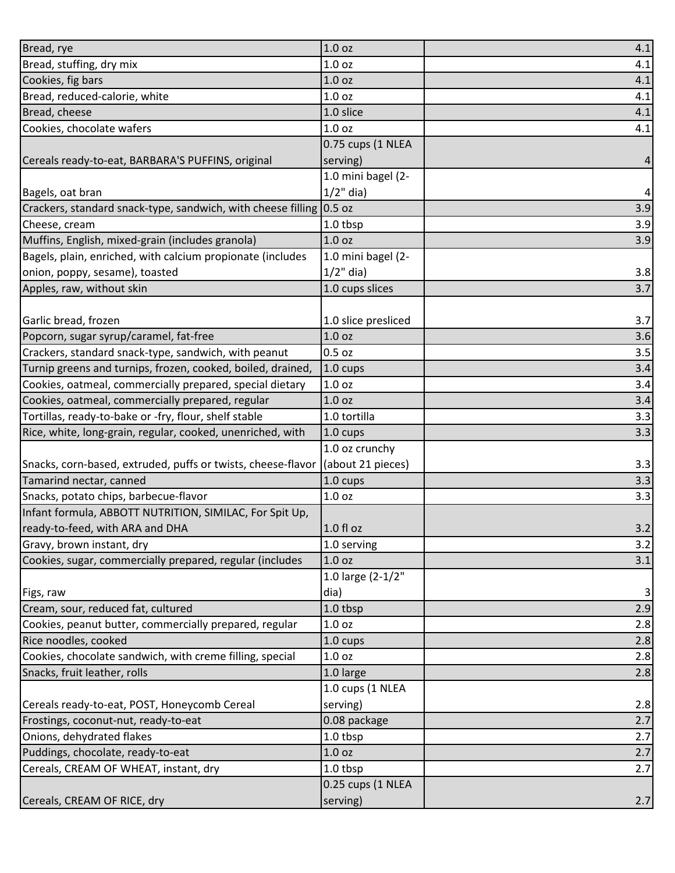| Bread, rye                                                   | 1.0 oz              | 4.1            |
|--------------------------------------------------------------|---------------------|----------------|
| Bread, stuffing, dry mix                                     | 1.0 <sub>oz</sub>   | 4.1            |
| Cookies, fig bars                                            | 1.0 <sub>oz</sub>   | 4.1            |
| Bread, reduced-calorie, white                                | 1.0 <sub>oz</sub>   | 4.1            |
| Bread, cheese                                                | 1.0 slice           | 4.1            |
| Cookies, chocolate wafers                                    | 1.0 <sub>oz</sub>   | 4.1            |
|                                                              | 0.75 cups (1 NLEA   |                |
| Cereals ready-to-eat, BARBARA'S PUFFINS, original            | serving)            | $\overline{a}$ |
|                                                              | 1.0 mini bagel (2-  |                |
| Bagels, oat bran                                             | $1/2$ " dia)        | 4              |
| Crackers, standard snack-type, sandwich, with cheese filling | 0.5 oz              | 3.9            |
| Cheese, cream                                                | 1.0 tbsp            | 3.9            |
| Muffins, English, mixed-grain (includes granola)             | 1.0 <sub>oz</sub>   | 3.9            |
| Bagels, plain, enriched, with calcium propionate (includes   | 1.0 mini bagel (2-  |                |
| onion, poppy, sesame), toasted                               | $1/2$ " dia)        | 3.8            |
| Apples, raw, without skin                                    | 1.0 cups slices     | 3.7            |
|                                                              |                     |                |
| Garlic bread, frozen                                         | 1.0 slice presliced | 3.7            |
| Popcorn, sugar syrup/caramel, fat-free                       | 1.0 <sub>oz</sub>   | 3.6            |
| Crackers, standard snack-type, sandwich, with peanut         | $0.5$ oz            | 3.5            |
| Turnip greens and turnips, frozen, cooked, boiled, drained,  | 1.0 cups            | 3.4            |
| Cookies, oatmeal, commercially prepared, special dietary     | 1.0 <sub>oz</sub>   | 3.4            |
| Cookies, oatmeal, commercially prepared, regular             | 1.0 <sub>oz</sub>   | 3.4            |
| Tortillas, ready-to-bake or -fry, flour, shelf stable        | 1.0 tortilla        | 3.3            |
| Rice, white, long-grain, regular, cooked, unenriched, with   | 1.0 cups            | 3.3            |
|                                                              | 1.0 oz crunchy      |                |
| Snacks, corn-based, extruded, puffs or twists, cheese-flavor | (about 21 pieces)   | 3.3            |
| Tamarind nectar, canned                                      | 1.0 cups            | 3.3            |
| Snacks, potato chips, barbecue-flavor                        | 1.0 <sub>oz</sub>   | 3.3            |
| Infant formula, ABBOTT NUTRITION, SIMILAC, For Spit Up,      |                     |                |
| ready-to-feed, with ARA and DHA                              | 1.0 fl oz           | 3.2            |
| Gravy, brown instant, dry                                    | 1.0 serving         | 3.2            |
| Cookies, sugar, commercially prepared, regular (includes     | 1.0 <sub>oz</sub>   | 3.1            |
|                                                              | 1.0 large (2-1/2"   |                |
| Figs, raw                                                    | dia)                | 3              |
| Cream, sour, reduced fat, cultured                           | 1.0 tbsp            | 2.9            |
| Cookies, peanut butter, commercially prepared, regular       | 1.0 <sub>oz</sub>   | 2.8            |
| Rice noodles, cooked                                         | $1.0 \text{ cups}$  | 2.8            |
| Cookies, chocolate sandwich, with creme filling, special     | 1.0 <sub>oz</sub>   | 2.8            |
| Snacks, fruit leather, rolls                                 | 1.0 large           | 2.8            |
|                                                              | 1.0 cups (1 NLEA    |                |
| Cereals ready-to-eat, POST, Honeycomb Cereal                 | serving)            | 2.8            |
| Frostings, coconut-nut, ready-to-eat                         | 0.08 package        | 2.7            |
| Onions, dehydrated flakes                                    | 1.0 tbsp            | 2.7            |
| Puddings, chocolate, ready-to-eat                            | 1.0 <sub>oz</sub>   | 2.7            |
| Cereals, CREAM OF WHEAT, instant, dry                        | 1.0 tbsp            | 2.7            |
|                                                              | 0.25 cups (1 NLEA   |                |
| Cereals, CREAM OF RICE, dry                                  | serving)            | 2.7            |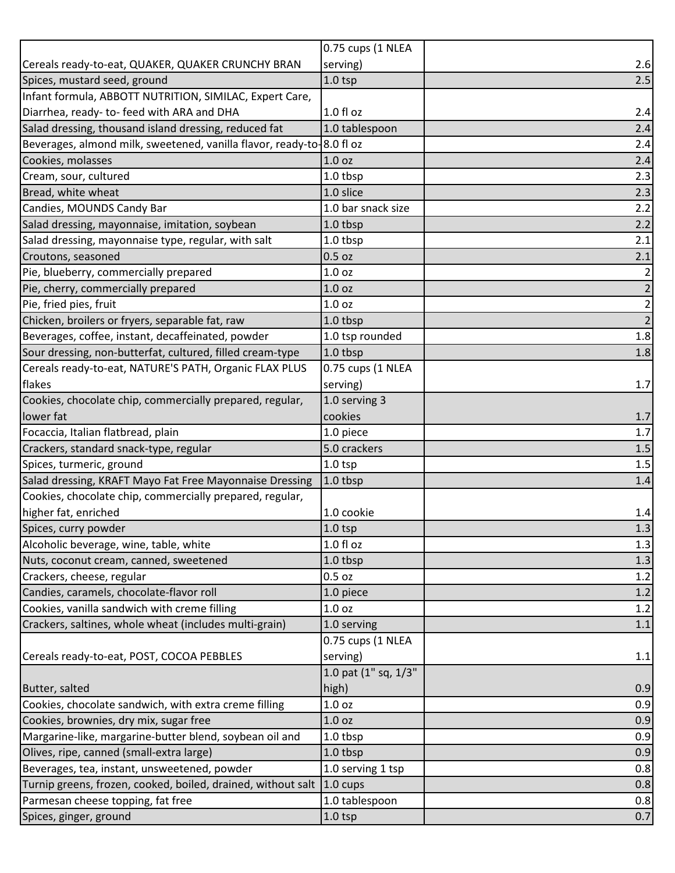|                                                                       | 0.75 cups (1 NLEA    |                |
|-----------------------------------------------------------------------|----------------------|----------------|
| Cereals ready-to-eat, QUAKER, QUAKER CRUNCHY BRAN                     | serving)             | 2.6            |
| Spices, mustard seed, ground                                          | $1.0$ tsp            | 2.5            |
| Infant formula, ABBOTT NUTRITION, SIMILAC, Expert Care,               |                      |                |
| Diarrhea, ready- to- feed with ARA and DHA                            | $1.0 f$ l oz         | 2.4            |
| Salad dressing, thousand island dressing, reduced fat                 | 1.0 tablespoon       | 2.4            |
| Beverages, almond milk, sweetened, vanilla flavor, ready-to-8.0 fl oz |                      | 2.4            |
| Cookies, molasses                                                     | 1.0 <sub>oz</sub>    | 2.4            |
| Cream, sour, cultured                                                 | 1.0 tbsp             | 2.3            |
| Bread, white wheat                                                    | 1.0 slice            | 2.3            |
| Candies, MOUNDS Candy Bar                                             | 1.0 bar snack size   | 2.2            |
| Salad dressing, mayonnaise, imitation, soybean                        | 1.0 tbsp             | 2.2            |
| Salad dressing, mayonnaise type, regular, with salt                   | 1.0 tbsp             | 2.1            |
| Croutons, seasoned                                                    | $0.5$ oz             | 2.1            |
| Pie, blueberry, commercially prepared                                 | 1.0 <sub>oz</sub>    | $\overline{2}$ |
| Pie, cherry, commercially prepared                                    | 1.0 <sub>oz</sub>    | $\overline{2}$ |
| Pie, fried pies, fruit                                                | 1.0 <sub>oz</sub>    | $\overline{2}$ |
| Chicken, broilers or fryers, separable fat, raw                       | 1.0 tbsp             | $\overline{2}$ |
| Beverages, coffee, instant, decaffeinated, powder                     | 1.0 tsp rounded      | 1.8            |
| Sour dressing, non-butterfat, cultured, filled cream-type             | 1.0 tbsp             | 1.8            |
| Cereals ready-to-eat, NATURE'S PATH, Organic FLAX PLUS                | 0.75 cups (1 NLEA    |                |
| flakes                                                                | serving)             | 1.7            |
| Cookies, chocolate chip, commercially prepared, regular,              | 1.0 serving 3        |                |
| lower fat                                                             | cookies              | 1.7            |
| Focaccia, Italian flatbread, plain                                    | 1.0 piece            | 1.7            |
| Crackers, standard snack-type, regular                                | 5.0 crackers         | $1.5\,$        |
| Spices, turmeric, ground                                              | 1.0 <sub>tp</sub>    | 1.5            |
| Salad dressing, KRAFT Mayo Fat Free Mayonnaise Dressing               | 1.0 tbsp             | 1.4            |
| Cookies, chocolate chip, commercially prepared, regular,              |                      |                |
| higher fat, enriched                                                  | 1.0 cookie           | 1.4            |
| Spices, curry powder                                                  | $1.0$ tsp            | 1.3            |
| Alcoholic beverage, wine, table, white                                | $1.0 f$ l oz         | 1.3            |
| Nuts, coconut cream, canned, sweetened                                | 1.0 tbsp             | 1.3            |
| Crackers, cheese, regular                                             | $0.5$ oz             | 1.2            |
| Candies, caramels, chocolate-flavor roll                              | 1.0 piece            | 1.2            |
| Cookies, vanilla sandwich with creme filling                          | 1.0 <sub>oz</sub>    | 1.2            |
| Crackers, saltines, whole wheat (includes multi-grain)                | 1.0 serving          | 1.1            |
|                                                                       | 0.75 cups (1 NLEA    |                |
| Cereals ready-to-eat, POST, COCOA PEBBLES                             | serving)             | 1.1            |
|                                                                       | 1.0 pat (1" sq, 1/3" |                |
| Butter, salted                                                        | high)                | 0.9            |
| Cookies, chocolate sandwich, with extra creme filling                 | 1.0 <sub>oz</sub>    | 0.9            |
| Cookies, brownies, dry mix, sugar free                                | 1.0 <sub>oz</sub>    | 0.9            |
| Margarine-like, margarine-butter blend, soybean oil and               | 1.0 tbsp             | 0.9            |
| Olives, ripe, canned (small-extra large)                              | 1.0 tbsp             | 0.9            |
| Beverages, tea, instant, unsweetened, powder                          | 1.0 serving 1 tsp    | 0.8            |
| Turnip greens, frozen, cooked, boiled, drained, without salt          | $1.0 \text{ cups}$   | 0.8            |
| Parmesan cheese topping, fat free                                     | 1.0 tablespoon       | 0.8            |
| Spices, ginger, ground                                                | $1.0$ tsp            | 0.7            |